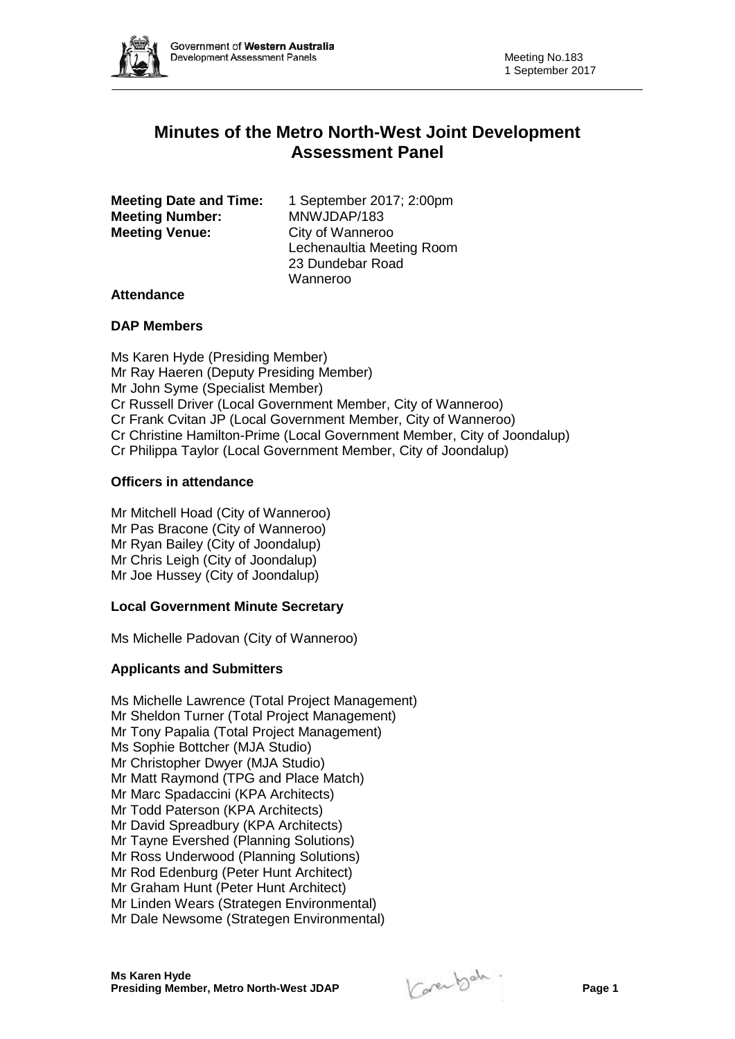

# **Minutes of the Metro North-West Joint Development Assessment Panel**

| <b>Meeting Date and Time:</b> | 1 September 2017; 2:00pm  |
|-------------------------------|---------------------------|
| <b>Meeting Number:</b>        | MNWJDAP/183               |
| <b>Meeting Venue:</b>         | City of Wanneroo          |
|                               | Lechenaultia Meeting Room |
|                               | 23 Dundebar Road          |
|                               | Wanneroo                  |

## **Attendance**

## **DAP Members**

Ms Karen Hyde (Presiding Member) Mr Ray Haeren (Deputy Presiding Member) Mr John Syme (Specialist Member) Cr Russell Driver (Local Government Member, City of Wanneroo) Cr Frank Cvitan JP (Local Government Member, City of Wanneroo) Cr Christine Hamilton-Prime (Local Government Member, City of Joondalup) Cr Philippa Taylor (Local Government Member, City of Joondalup)

## **Officers in attendance**

Mr Mitchell Hoad (City of Wanneroo) Mr Pas Bracone (City of Wanneroo) Mr Ryan Bailey (City of Joondalup) Mr Chris Leigh (City of Joondalup) Mr Joe Hussey (City of Joondalup)

#### **Local Government Minute Secretary**

Ms Michelle Padovan (City of Wanneroo)

## **Applicants and Submitters**

Ms Michelle Lawrence (Total Project Management) Mr Sheldon Turner (Total Project Management) Mr Tony Papalia (Total Project Management) Ms Sophie Bottcher (MJA Studio) Mr Christopher Dwyer (MJA Studio) Mr Matt Raymond (TPG and Place Match) Mr Marc Spadaccini (KPA Architects) Mr Todd Paterson (KPA Architects) Mr David Spreadbury (KPA Architects) Mr Tayne Evershed (Planning Solutions) Mr Ross Underwood (Planning Solutions) Mr Rod Edenburg (Peter Hunt Architect) Mr Graham Hunt (Peter Hunt Architect) Mr Linden Wears (Strategen Environmental) Mr Dale Newsome (Strategen Environmental)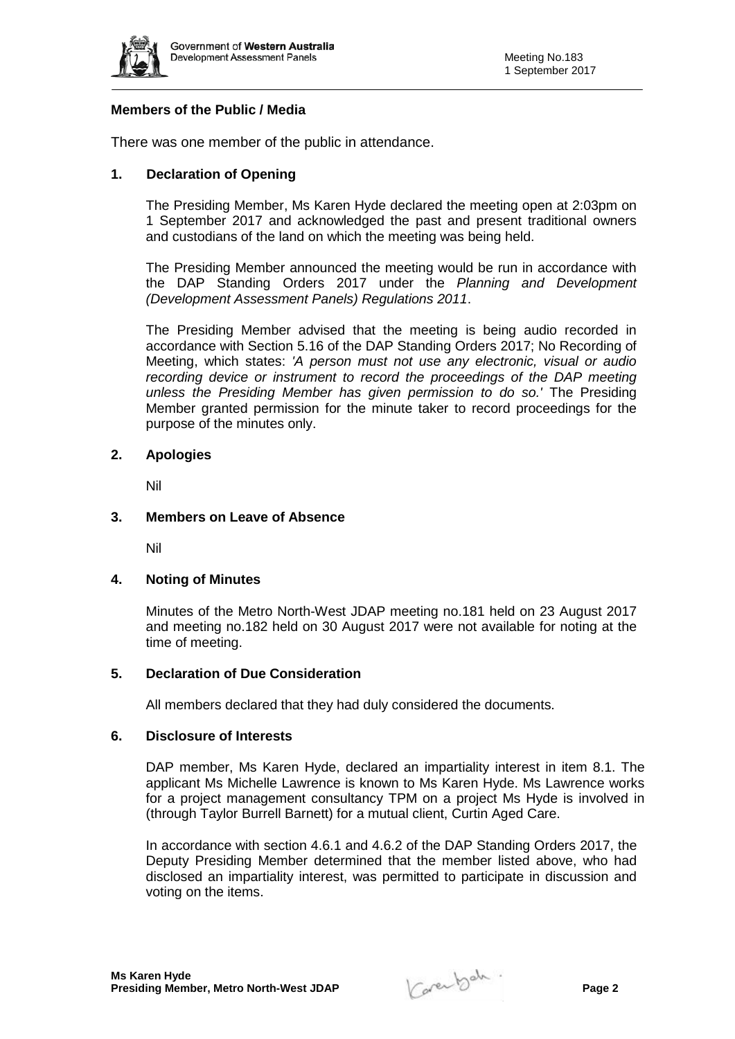

## **Members of the Public / Media**

There was one member of the public in attendance.

## **1. Declaration of Opening**

The Presiding Member, Ms Karen Hyde declared the meeting open at 2:03pm on 1 September 2017 and acknowledged the past and present traditional owners and custodians of the land on which the meeting was being held.

The Presiding Member announced the meeting would be run in accordance with the DAP Standing Orders 2017 under the *Planning and Development (Development Assessment Panels) Regulations 2011*.

The Presiding Member advised that the meeting is being audio recorded in accordance with Section 5.16 of the DAP Standing Orders 2017; No Recording of Meeting, which states: *'A person must not use any electronic, visual or audio recording device or instrument to record the proceedings of the DAP meeting unless the Presiding Member has given permission to do so.'* The Presiding Member granted permission for the minute taker to record proceedings for the purpose of the minutes only.

## **2. Apologies**

Nil

## **3. Members on Leave of Absence**

Nil

#### **4. Noting of Minutes**

Minutes of the Metro North-West JDAP meeting no.181 held on 23 August 2017 and meeting no.182 held on 30 August 2017 were not available for noting at the time of meeting.

### **5. Declaration of Due Consideration**

All members declared that they had duly considered the documents.

#### **6. Disclosure of Interests**

DAP member, Ms Karen Hyde, declared an impartiality interest in item 8.1. The applicant Ms Michelle Lawrence is known to Ms Karen Hyde. Ms Lawrence works for a project management consultancy TPM on a project Ms Hyde is involved in (through Taylor Burrell Barnett) for a mutual client, Curtin Aged Care.

In accordance with section 4.6.1 and 4.6.2 of the DAP Standing Orders 2017, the Deputy Presiding Member determined that the member listed above, who had disclosed an impartiality interest, was permitted to participate in discussion and voting on the items.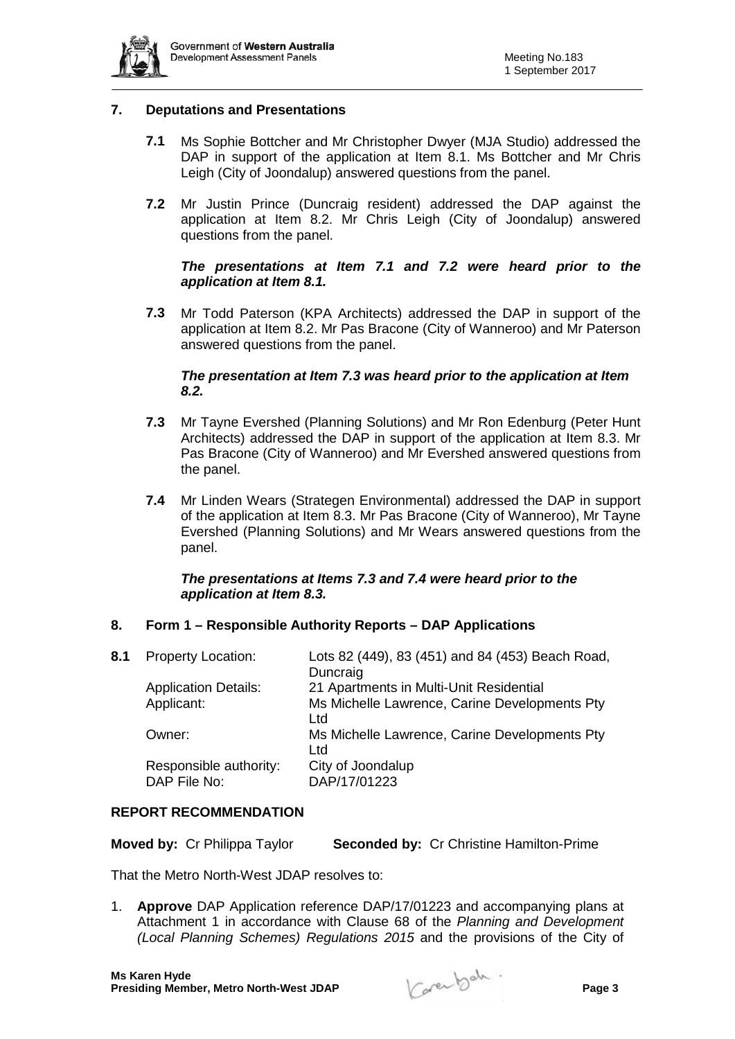

## **7. Deputations and Presentations**

- **7.1** Ms Sophie Bottcher and Mr Christopher Dwyer (MJA Studio) addressed the DAP in support of the application at Item 8.1. Ms Bottcher and Mr Chris Leigh (City of Joondalup) answered questions from the panel.
- **7.2** Mr Justin Prince (Duncraig resident) addressed the DAP against the application at Item 8.2. Mr Chris Leigh (City of Joondalup) answered questions from the panel.

## *The presentations at Item 7.1 and 7.2 were heard prior to the application at Item 8.1.*

**7.3** Mr Todd Paterson (KPA Architects) addressed the DAP in support of the application at Item 8.2. Mr Pas Bracone (City of Wanneroo) and Mr Paterson answered questions from the panel.

## *The presentation at Item 7.3 was heard prior to the application at Item 8.2.*

- **7.3** Mr Tayne Evershed (Planning Solutions) and Mr Ron Edenburg (Peter Hunt Architects) addressed the DAP in support of the application at Item 8.3. Mr Pas Bracone (City of Wanneroo) and Mr Evershed answered questions from the panel.
- **7.4** Mr Linden Wears (Strategen Environmental) addressed the DAP in support of the application at Item 8.3. Mr Pas Bracone (City of Wanneroo), Mr Tayne Evershed (Planning Solutions) and Mr Wears answered questions from the panel.

## *The presentations at Items 7.3 and 7.4 were heard prior to the application at Item 8.3.*

## **8. Form 1 – Responsible Authority Reports – DAP Applications**

| 8.1 | <b>Property Location:</b>              | Lots 82 (449), 83 (451) and 84 (453) Beach Road,<br>Duncraig |
|-----|----------------------------------------|--------------------------------------------------------------|
|     | <b>Application Details:</b>            | 21 Apartments in Multi-Unit Residential                      |
|     | Applicant:                             | Ms Michelle Lawrence, Carine Developments Pty<br>Ltd         |
|     | Owner:                                 | Ms Michelle Lawrence, Carine Developments Pty<br>Ltd         |
|     | Responsible authority:<br>DAP File No: | City of Joondalup<br>DAP/17/01223                            |

## **REPORT RECOMMENDATION**

| <b>Moved by: Cr Philippa Taylor</b> |  | <b>Seconded by: Cr Christine Hamilton-Prime</b> |
|-------------------------------------|--|-------------------------------------------------|
|-------------------------------------|--|-------------------------------------------------|

That the Metro North-West JDAP resolves to:

1. **Approve** DAP Application reference DAP/17/01223 and accompanying plans at Attachment 1 in accordance with Clause 68 of the *Planning and Development (Local Planning Schemes) Regulations 2015* and the provisions of the City of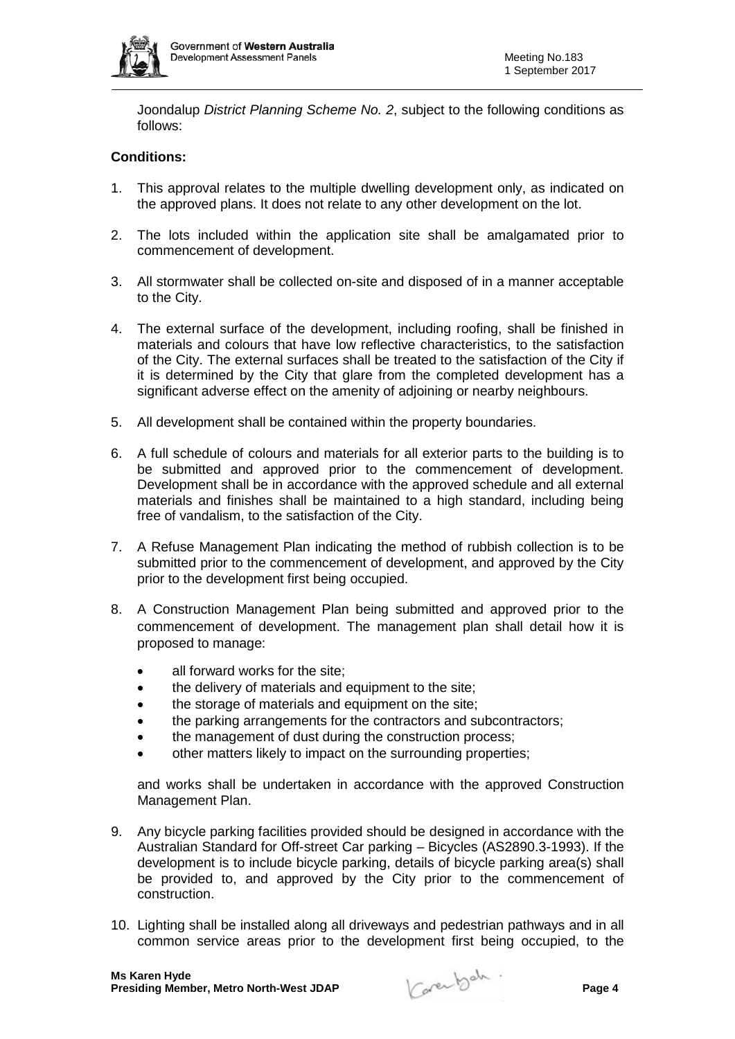

Joondalup *District Planning Scheme No. 2*, subject to the following conditions as follows:

## **Conditions:**

- 1. This approval relates to the multiple dwelling development only, as indicated on the approved plans. It does not relate to any other development on the lot.
- 2. The lots included within the application site shall be amalgamated prior to commencement of development.
- 3. All stormwater shall be collected on-site and disposed of in a manner acceptable to the City.
- 4. The external surface of the development, including roofing, shall be finished in materials and colours that have low reflective characteristics, to the satisfaction of the City. The external surfaces shall be treated to the satisfaction of the City if it is determined by the City that glare from the completed development has a significant adverse effect on the amenity of adjoining or nearby neighbours.
- 5. All development shall be contained within the property boundaries.
- 6. A full schedule of colours and materials for all exterior parts to the building is to be submitted and approved prior to the commencement of development. Development shall be in accordance with the approved schedule and all external materials and finishes shall be maintained to a high standard, including being free of vandalism, to the satisfaction of the City.
- 7. A Refuse Management Plan indicating the method of rubbish collection is to be submitted prior to the commencement of development, and approved by the City prior to the development first being occupied.
- 8. A Construction Management Plan being submitted and approved prior to the commencement of development. The management plan shall detail how it is proposed to manage:
	- all forward works for the site:
	- the delivery of materials and equipment to the site;
	- the storage of materials and equipment on the site;
	- the parking arrangements for the contractors and subcontractors;
	- the management of dust during the construction process;
	- other matters likely to impact on the surrounding properties;

and works shall be undertaken in accordance with the approved Construction Management Plan.

- 9. Any bicycle parking facilities provided should be designed in accordance with the Australian Standard for Off-street Car parking – Bicycles (AS2890.3-1993). If the development is to include bicycle parking, details of bicycle parking area(s) shall be provided to, and approved by the City prior to the commencement of construction.
- 10. Lighting shall be installed along all driveways and pedestrian pathways and in all common service areas prior to the development first being occupied, to the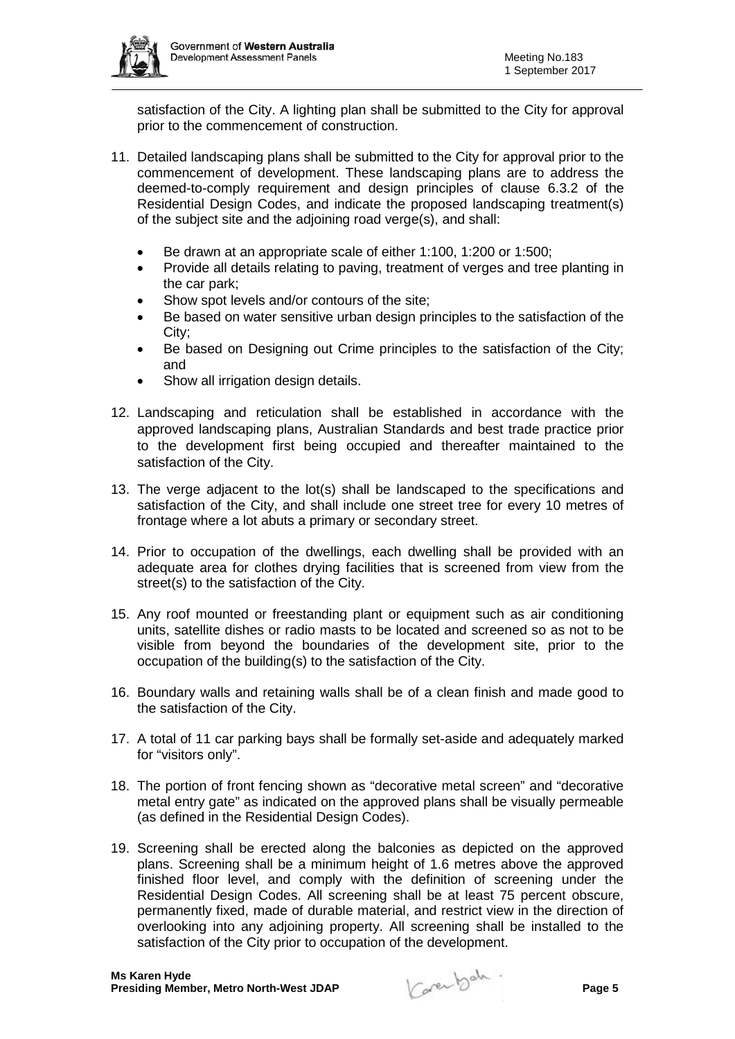

satisfaction of the City. A lighting plan shall be submitted to the City for approval prior to the commencement of construction.

- 11. Detailed landscaping plans shall be submitted to the City for approval prior to the commencement of development. These landscaping plans are to address the deemed-to-comply requirement and design principles of clause 6.3.2 of the Residential Design Codes, and indicate the proposed landscaping treatment(s) of the subject site and the adjoining road verge(s), and shall:
	- Be drawn at an appropriate scale of either 1:100, 1:200 or 1:500;
	- Provide all details relating to paving, treatment of verges and tree planting in the car park;
	- Show spot levels and/or contours of the site;
	- Be based on water sensitive urban design principles to the satisfaction of the City;
	- Be based on Designing out Crime principles to the satisfaction of the City; and
	- Show all irrigation design details.
- 12. Landscaping and reticulation shall be established in accordance with the approved landscaping plans, Australian Standards and best trade practice prior to the development first being occupied and thereafter maintained to the satisfaction of the City.
- 13. The verge adjacent to the lot(s) shall be landscaped to the specifications and satisfaction of the City, and shall include one street tree for every 10 metres of frontage where a lot abuts a primary or secondary street.
- 14. Prior to occupation of the dwellings, each dwelling shall be provided with an adequate area for clothes drying facilities that is screened from view from the street(s) to the satisfaction of the City.
- 15. Any roof mounted or freestanding plant or equipment such as air conditioning units, satellite dishes or radio masts to be located and screened so as not to be visible from beyond the boundaries of the development site, prior to the occupation of the building(s) to the satisfaction of the City.
- 16. Boundary walls and retaining walls shall be of a clean finish and made good to the satisfaction of the City.
- 17. A total of 11 car parking bays shall be formally set-aside and adequately marked for "visitors only".
- 18. The portion of front fencing shown as "decorative metal screen" and "decorative metal entry gate" as indicated on the approved plans shall be visually permeable (as defined in the Residential Design Codes).
- 19. Screening shall be erected along the balconies as depicted on the approved plans. Screening shall be a minimum height of 1.6 metres above the approved finished floor level, and comply with the definition of screening under the Residential Design Codes. All screening shall be at least 75 percent obscure, permanently fixed, made of durable material, and restrict view in the direction of overlooking into any adjoining property. All screening shall be installed to the satisfaction of the City prior to occupation of the development.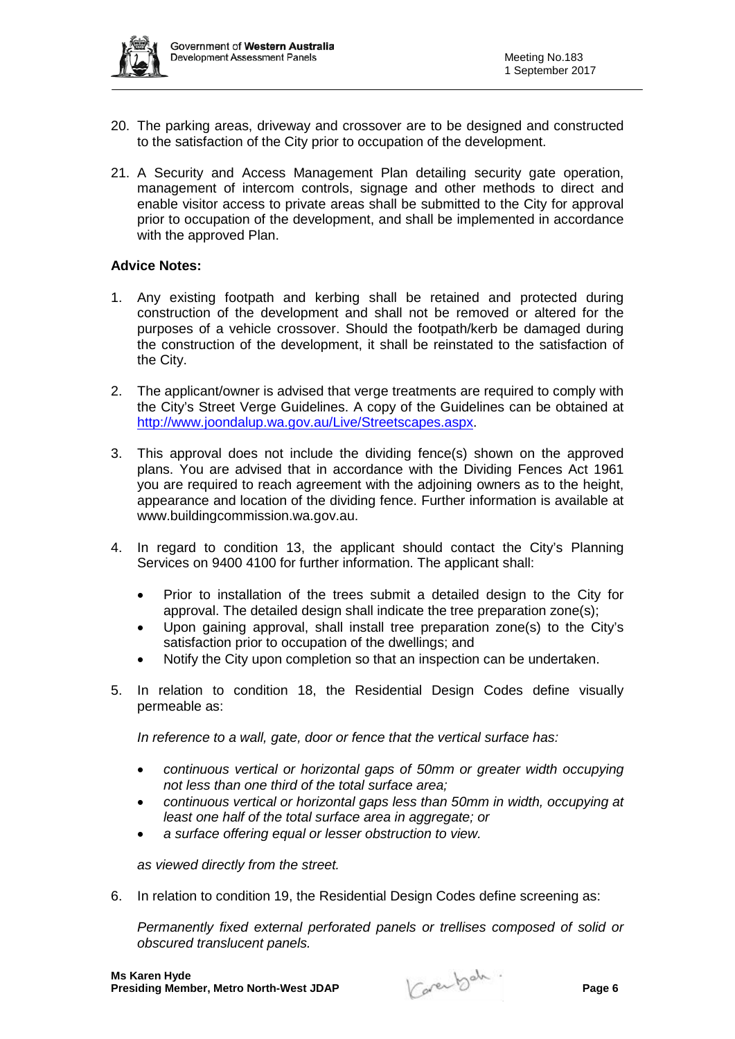- 20. The parking areas, driveway and crossover are to be designed and constructed to the satisfaction of the City prior to occupation of the development.
- 21. A Security and Access Management Plan detailing security gate operation, management of intercom controls, signage and other methods to direct and enable visitor access to private areas shall be submitted to the City for approval prior to occupation of the development, and shall be implemented in accordance with the approved Plan.

#### **Advice Notes:**

- 1. Any existing footpath and kerbing shall be retained and protected during construction of the development and shall not be removed or altered for the purposes of a vehicle crossover. Should the footpath/kerb be damaged during the construction of the development, it shall be reinstated to the satisfaction of the City.
- 2. The applicant/owner is advised that verge treatments are required to comply with the City's Street Verge Guidelines. A copy of the Guidelines can be obtained at [http://www.joondalup.wa.gov.au/Live/Streetscapes.aspx.](http://www.joondalup.wa.gov.au/Live/Streetscapes.aspx)
- 3. This approval does not include the dividing fence(s) shown on the approved plans. You are advised that in accordance with the Dividing Fences Act 1961 you are required to reach agreement with the adjoining owners as to the height, appearance and location of the dividing fence. Further information is available at [www.buildingcommission.wa.gov.au.](http://www.buildingcommission.wa.gov.au/)
- 4. In regard to condition 13, the applicant should contact the City's Planning Services on 9400 4100 for further information. The applicant shall:
	- Prior to installation of the trees submit a detailed design to the City for approval. The detailed design shall indicate the tree preparation zone(s);
	- Upon gaining approval, shall install tree preparation zone(s) to the City's satisfaction prior to occupation of the dwellings; and
	- Notify the City upon completion so that an inspection can be undertaken.
- 5. In relation to condition 18, the Residential Design Codes define visually permeable as:

*In reference to a wall, gate, door or fence that the vertical surface has:*

- *continuous vertical or horizontal gaps of 50mm or greater width occupying not less than one third of the total surface area;*
- *continuous vertical or horizontal gaps less than 50mm in width, occupying at least one half of the total surface area in aggregate; or*
- *a surface offering equal or lesser obstruction to view.*

*as viewed directly from the street.*

6. In relation to condition 19, the Residential Design Codes define screening as:

*Permanently fixed external perforated panels or trellises composed of solid or obscured translucent panels.*

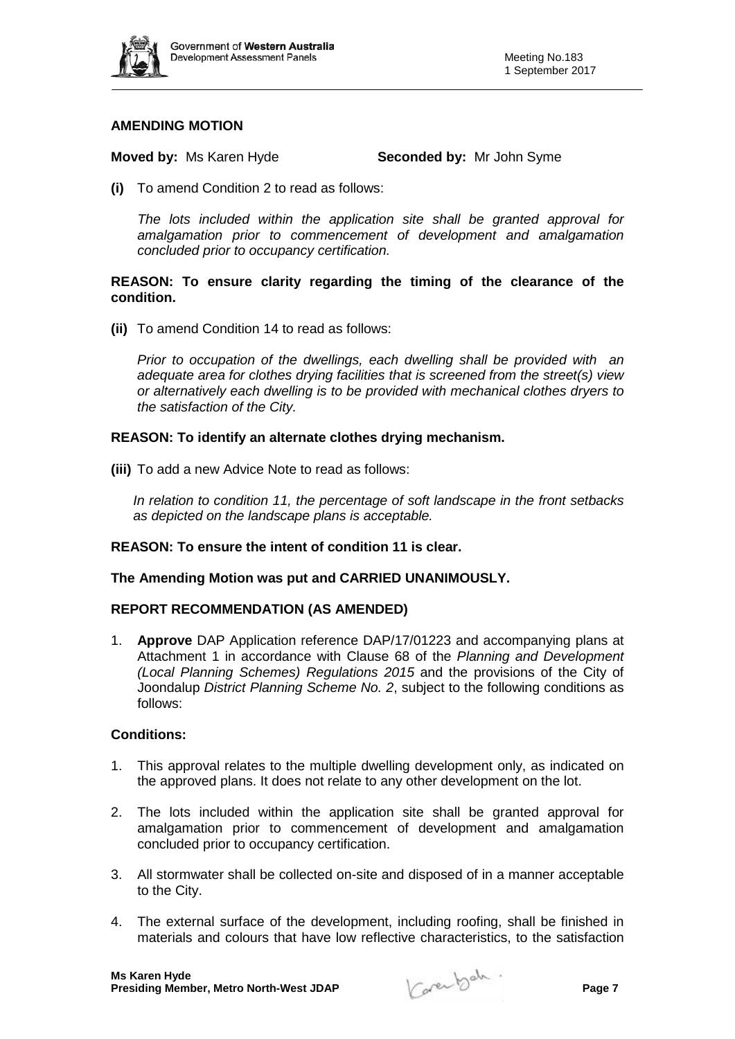

## **AMENDING MOTION**

**Moved by:** Ms Karen Hyde **Seconded by:** Mr John Syme

**(i)** To amend Condition 2 to read as follows:

*The lots included within the application site shall be granted approval for amalgamation prior to commencement of development and amalgamation concluded prior to occupancy certification.* 

#### **REASON: To ensure clarity regarding the timing of the clearance of the condition.**

**(ii)** To amend Condition 14 to read as follows:

*Prior to occupation of the dwellings, each dwelling shall be provided with an adequate area for clothes drying facilities that is screened from the street(s) view or alternatively each dwelling is to be provided with mechanical clothes dryers to the satisfaction of the City.*

## **REASON: To identify an alternate clothes drying mechanism.**

**(iii)** To add a new Advice Note to read as follows:

*In relation to condition 11, the percentage of soft landscape in the front setbacks as depicted on the landscape plans is acceptable.*

#### **REASON: To ensure the intent of condition 11 is clear.**

## **The Amending Motion was put and CARRIED UNANIMOUSLY.**

#### **REPORT RECOMMENDATION (AS AMENDED)**

1. **Approve** DAP Application reference DAP/17/01223 and accompanying plans at Attachment 1 in accordance with Clause 68 of the *Planning and Development (Local Planning Schemes) Regulations 2015* and the provisions of the City of Joondalup *District Planning Scheme No. 2*, subject to the following conditions as follows:

#### **Conditions:**

- 1. This approval relates to the multiple dwelling development only, as indicated on the approved plans. It does not relate to any other development on the lot.
- 2. The lots included within the application site shall be granted approval for amalgamation prior to commencement of development and amalgamation concluded prior to occupancy certification.
- 3. All stormwater shall be collected on-site and disposed of in a manner acceptable to the City.
- 4. The external surface of the development, including roofing, shall be finished in materials and colours that have low reflective characteristics, to the satisfaction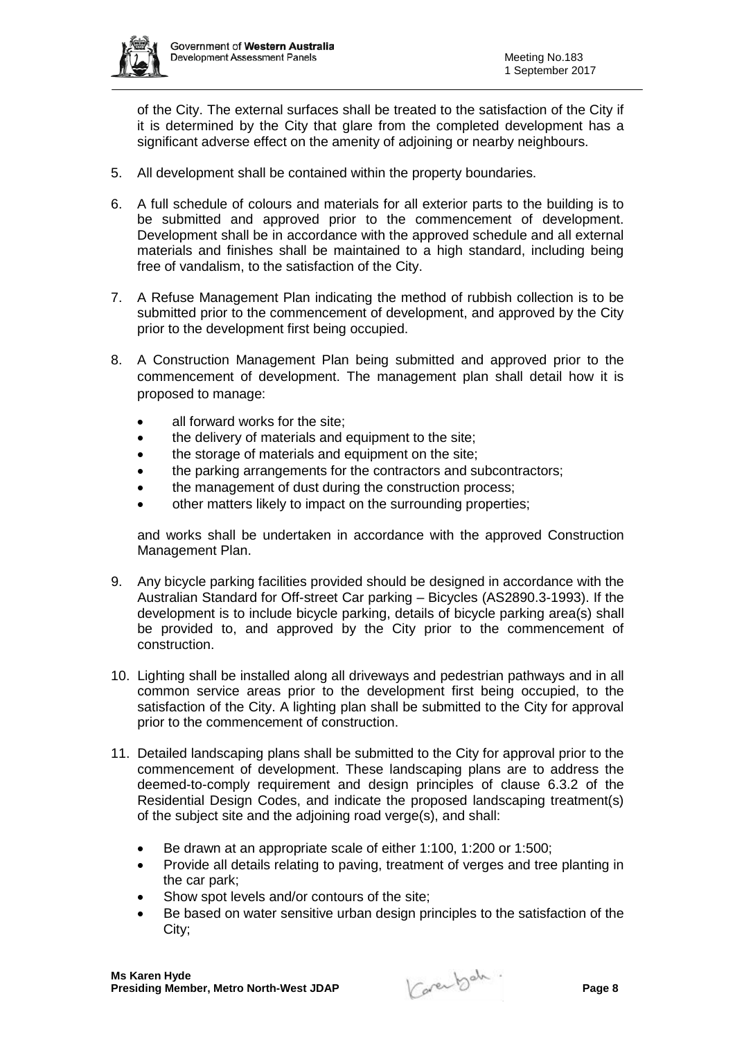

of the City. The external surfaces shall be treated to the satisfaction of the City if it is determined by the City that glare from the completed development has a significant adverse effect on the amenity of adjoining or nearby neighbours.

- 5. All development shall be contained within the property boundaries.
- 6. A full schedule of colours and materials for all exterior parts to the building is to be submitted and approved prior to the commencement of development. Development shall be in accordance with the approved schedule and all external materials and finishes shall be maintained to a high standard, including being free of vandalism, to the satisfaction of the City.
- 7. A Refuse Management Plan indicating the method of rubbish collection is to be submitted prior to the commencement of development, and approved by the City prior to the development first being occupied.
- 8. A Construction Management Plan being submitted and approved prior to the commencement of development. The management plan shall detail how it is proposed to manage:
	- all forward works for the site;
	- the delivery of materials and equipment to the site;
	- the storage of materials and equipment on the site;
	- the parking arrangements for the contractors and subcontractors;
	- the management of dust during the construction process;
	- other matters likely to impact on the surrounding properties;

and works shall be undertaken in accordance with the approved Construction Management Plan.

- 9. Any bicycle parking facilities provided should be designed in accordance with the Australian Standard for Off-street Car parking – Bicycles (AS2890.3-1993). If the development is to include bicycle parking, details of bicycle parking area(s) shall be provided to, and approved by the City prior to the commencement of construction.
- 10. Lighting shall be installed along all driveways and pedestrian pathways and in all common service areas prior to the development first being occupied, to the satisfaction of the City. A lighting plan shall be submitted to the City for approval prior to the commencement of construction.
- 11. Detailed landscaping plans shall be submitted to the City for approval prior to the commencement of development. These landscaping plans are to address the deemed-to-comply requirement and design principles of clause 6.3.2 of the Residential Design Codes, and indicate the proposed landscaping treatment(s) of the subject site and the adjoining road verge(s), and shall:
	- Be drawn at an appropriate scale of either 1:100, 1:200 or 1:500;
	- Provide all details relating to paving, treatment of verges and tree planting in the car park;
	- Show spot levels and/or contours of the site:
	- Be based on water sensitive urban design principles to the satisfaction of the City;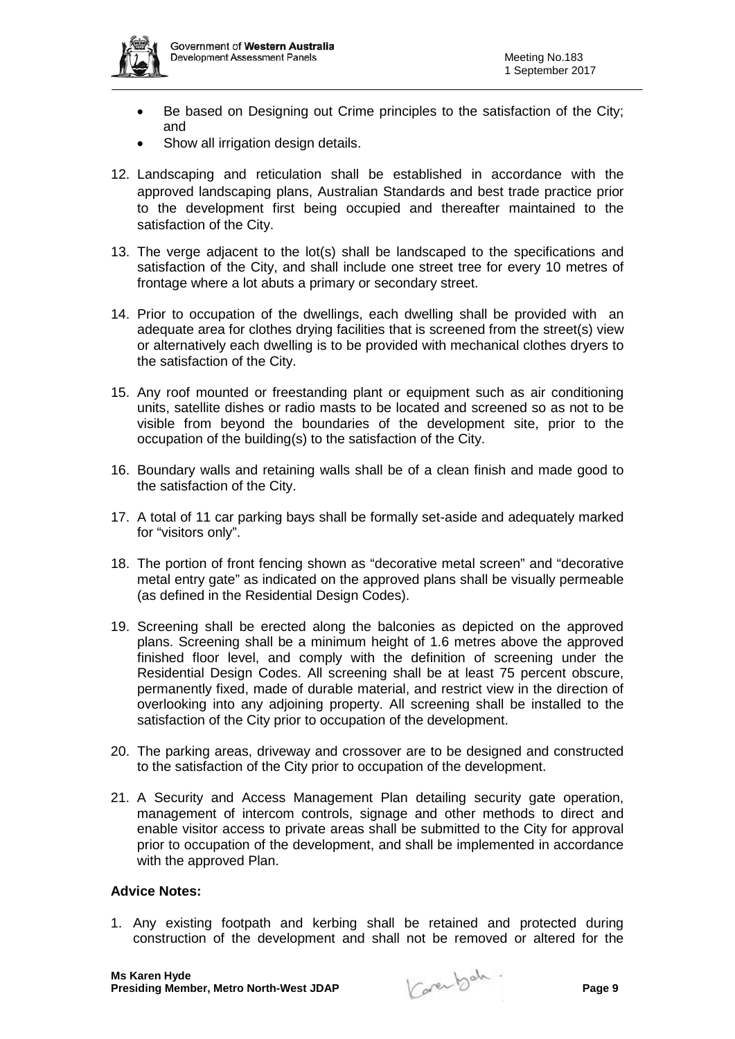- Be based on Designing out Crime principles to the satisfaction of the City; and
- Show all irrigation design details.
- 12. Landscaping and reticulation shall be established in accordance with the approved landscaping plans, Australian Standards and best trade practice prior to the development first being occupied and thereafter maintained to the satisfaction of the City.
- 13. The verge adjacent to the lot(s) shall be landscaped to the specifications and satisfaction of the City, and shall include one street tree for every 10 metres of frontage where a lot abuts a primary or secondary street.
- 14. Prior to occupation of the dwellings, each dwelling shall be provided with an adequate area for clothes drying facilities that is screened from the street(s) view or alternatively each dwelling is to be provided with mechanical clothes dryers to the satisfaction of the City.
- 15. Any roof mounted or freestanding plant or equipment such as air conditioning units, satellite dishes or radio masts to be located and screened so as not to be visible from beyond the boundaries of the development site, prior to the occupation of the building(s) to the satisfaction of the City.
- 16. Boundary walls and retaining walls shall be of a clean finish and made good to the satisfaction of the City.
- 17. A total of 11 car parking bays shall be formally set-aside and adequately marked for "visitors only".
- 18. The portion of front fencing shown as "decorative metal screen" and "decorative metal entry gate" as indicated on the approved plans shall be visually permeable (as defined in the Residential Design Codes).
- 19. Screening shall be erected along the balconies as depicted on the approved plans. Screening shall be a minimum height of 1.6 metres above the approved finished floor level, and comply with the definition of screening under the Residential Design Codes. All screening shall be at least 75 percent obscure, permanently fixed, made of durable material, and restrict view in the direction of overlooking into any adjoining property. All screening shall be installed to the satisfaction of the City prior to occupation of the development.
- 20. The parking areas, driveway and crossover are to be designed and constructed to the satisfaction of the City prior to occupation of the development.
- 21. A Security and Access Management Plan detailing security gate operation, management of intercom controls, signage and other methods to direct and enable visitor access to private areas shall be submitted to the City for approval prior to occupation of the development, and shall be implemented in accordance with the approved Plan.

#### **Advice Notes:**

1. Any existing footpath and kerbing shall be retained and protected during construction of the development and shall not be removed or altered for the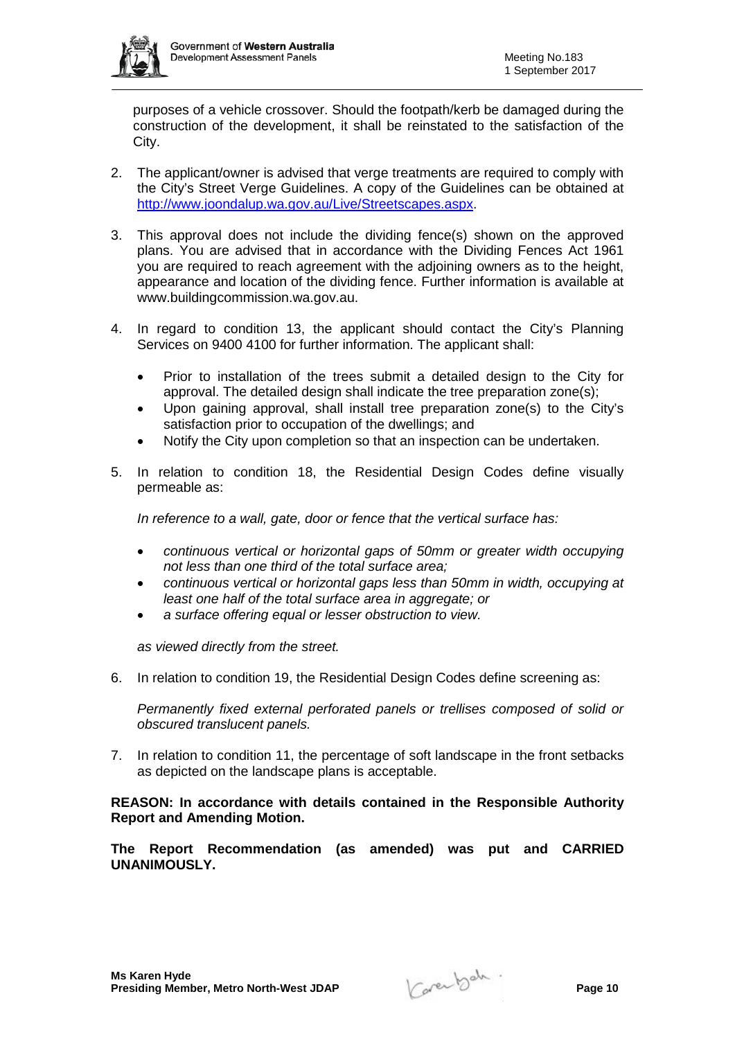

purposes of a vehicle crossover. Should the footpath/kerb be damaged during the construction of the development, it shall be reinstated to the satisfaction of the City.

- 2. The applicant/owner is advised that verge treatments are required to comply with the City's Street Verge Guidelines. A copy of the Guidelines can be obtained at [http://www.joondalup.wa.gov.au/Live/Streetscapes.aspx.](http://www.joondalup.wa.gov.au/Live/Streetscapes.aspx)
- 3. This approval does not include the dividing fence(s) shown on the approved plans. You are advised that in accordance with the Dividing Fences Act 1961 you are required to reach agreement with the adjoining owners as to the height, appearance and location of the dividing fence. Further information is available at [www.buildingcommission.wa.gov.au.](http://www.buildingcommission.wa.gov.au/)
- 4. In regard to condition 13, the applicant should contact the City's Planning Services on 9400 4100 for further information. The applicant shall:
	- Prior to installation of the trees submit a detailed design to the City for approval. The detailed design shall indicate the tree preparation zone(s);
	- Upon gaining approval, shall install tree preparation zone(s) to the City's satisfaction prior to occupation of the dwellings; and
	- Notify the City upon completion so that an inspection can be undertaken.
- 5. In relation to condition 18, the Residential Design Codes define visually permeable as:

*In reference to a wall, gate, door or fence that the vertical surface has:*

- *continuous vertical or horizontal gaps of 50mm or greater width occupying not less than one third of the total surface area;*
- *continuous vertical or horizontal gaps less than 50mm in width, occupying at least one half of the total surface area in aggregate; or*
- *a surface offering equal or lesser obstruction to view.*

*as viewed directly from the street.*

6. In relation to condition 19, the Residential Design Codes define screening as:

*Permanently fixed external perforated panels or trellises composed of solid or obscured translucent panels.*

7. In relation to condition 11, the percentage of soft landscape in the front setbacks as depicted on the landscape plans is acceptable.

**REASON: In accordance with details contained in the Responsible Authority Report and Amending Motion.** 

**The Report Recommendation (as amended) was put and CARRIED UNANIMOUSLY.**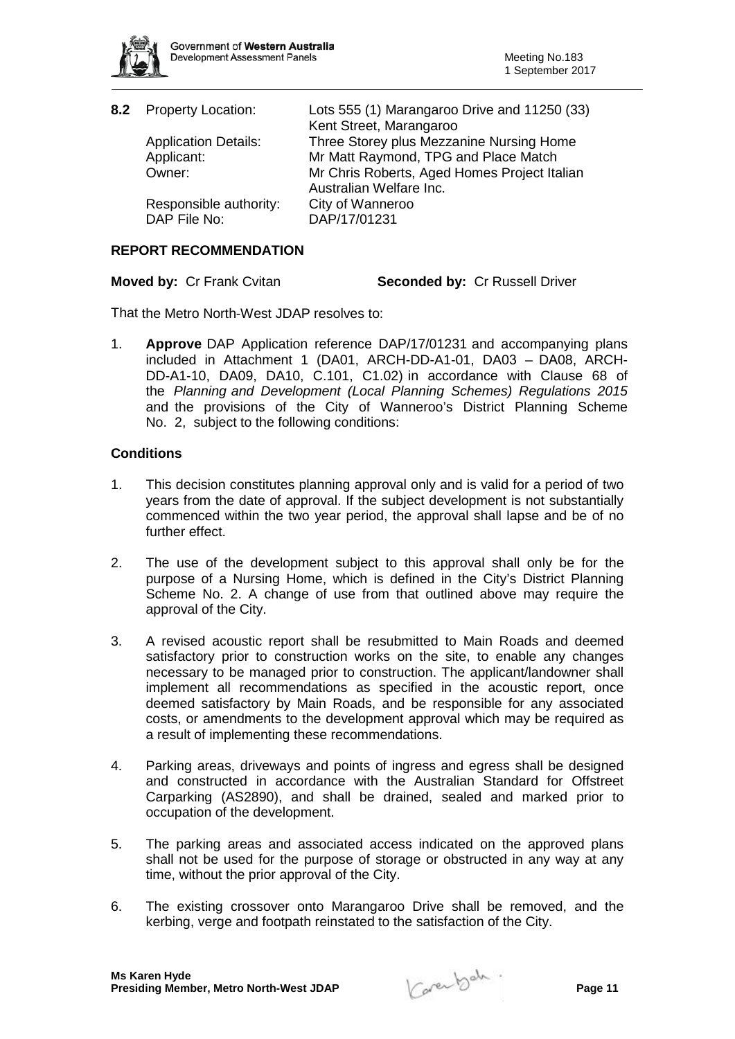

| 8.2 Property Location:                 | Lots 555 (1) Marangaroo Drive and 11250 (33)<br>Kent Street, Marangaroo |
|----------------------------------------|-------------------------------------------------------------------------|
| <b>Application Details:</b>            | Three Storey plus Mezzanine Nursing Home                                |
| Applicant:                             | Mr Matt Raymond, TPG and Place Match                                    |
| Owner:                                 | Mr Chris Roberts, Aged Homes Project Italian<br>Australian Welfare Inc. |
| Responsible authority:<br>DAP File No: | City of Wanneroo<br>DAP/17/01231                                        |

## **REPORT RECOMMENDATION**

**Moved by: Cr Frank Cvitan Seconded by: Cr Russell Driver** 

That the Metro North-West JDAP resolves to:

1. **Approve** DAP Application reference DAP/17/01231 and accompanying plans included in Attachment 1 (DA01, ARCH-DD-A1-01, DA03 – DA08, ARCH-DD-A1-10, DA09, DA10, C.101, C1.02) in accordance with Clause 68 of the *Planning and Development (Local Planning Schemes) Regulations 2015* and the provisions of the City of Wanneroo's District Planning Scheme No. 2, subject to the following conditions:

## **Conditions**

- 1. This decision constitutes planning approval only and is valid for a period of two years from the date of approval. If the subject development is not substantially commenced within the two year period, the approval shall lapse and be of no further effect.
- 2. The use of the development subject to this approval shall only be for the purpose of a Nursing Home, which is defined in the City's District Planning Scheme No. 2. A change of use from that outlined above may require the approval of the City.
- 3. A revised acoustic report shall be resubmitted to Main Roads and deemed satisfactory prior to construction works on the site, to enable any changes necessary to be managed prior to construction. The applicant/landowner shall implement all recommendations as specified in the acoustic report, once deemed satisfactory by Main Roads, and be responsible for any associated costs, or amendments to the development approval which may be required as a result of implementing these recommendations.
- 4. Parking areas, driveways and points of ingress and egress shall be designed and constructed in accordance with the Australian Standard for Offstreet Carparking (AS2890), and shall be drained, sealed and marked prior to occupation of the development.
- 5. The parking areas and associated access indicated on the approved plans shall not be used for the purpose of storage or obstructed in any way at any time, without the prior approval of the City.
- 6. The existing crossover onto Marangaroo Drive shall be removed, and the kerbing, verge and footpath reinstated to the satisfaction of the City.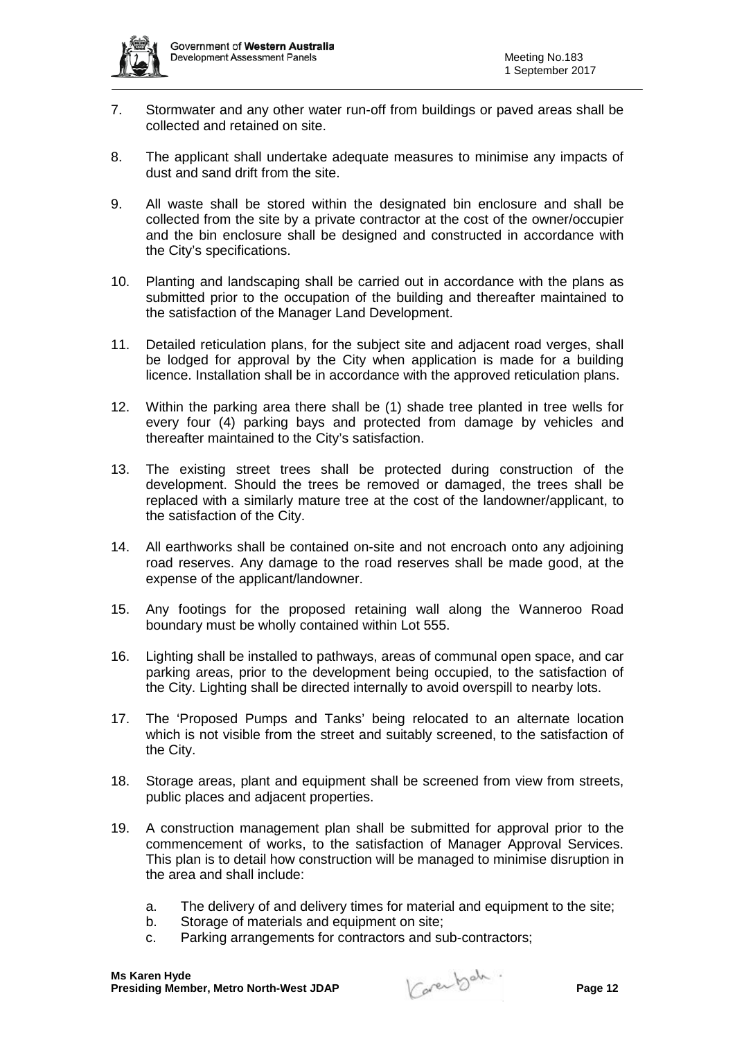

- 7. Stormwater and any other water run-off from buildings or paved areas shall be collected and retained on site.
- 8. The applicant shall undertake adequate measures to minimise any impacts of dust and sand drift from the site.
- 9. All waste shall be stored within the designated bin enclosure and shall be collected from the site by a private contractor at the cost of the owner/occupier and the bin enclosure shall be designed and constructed in accordance with the City's specifications.
- 10. Planting and landscaping shall be carried out in accordance with the plans as submitted prior to the occupation of the building and thereafter maintained to the satisfaction of the Manager Land Development.
- 11. Detailed reticulation plans, for the subject site and adjacent road verges, shall be lodged for approval by the City when application is made for a building licence. Installation shall be in accordance with the approved reticulation plans.
- 12. Within the parking area there shall be (1) shade tree planted in tree wells for every four (4) parking bays and protected from damage by vehicles and thereafter maintained to the City's satisfaction.
- 13. The existing street trees shall be protected during construction of the development. Should the trees be removed or damaged, the trees shall be replaced with a similarly mature tree at the cost of the landowner/applicant, to the satisfaction of the City.
- 14. All earthworks shall be contained on-site and not encroach onto any adjoining road reserves. Any damage to the road reserves shall be made good, at the expense of the applicant/landowner.
- 15. Any footings for the proposed retaining wall along the Wanneroo Road boundary must be wholly contained within Lot 555.
- 16. Lighting shall be installed to pathways, areas of communal open space, and car parking areas, prior to the development being occupied, to the satisfaction of the City. Lighting shall be directed internally to avoid overspill to nearby lots.
- 17. The 'Proposed Pumps and Tanks' being relocated to an alternate location which is not visible from the street and suitably screened, to the satisfaction of the City.
- 18. Storage areas, plant and equipment shall be screened from view from streets, public places and adjacent properties.
- 19. A construction management plan shall be submitted for approval prior to the commencement of works, to the satisfaction of Manager Approval Services. This plan is to detail how construction will be managed to minimise disruption in the area and shall include:
	- a. The delivery of and delivery times for material and equipment to the site;
	- b. Storage of materials and equipment on site;
	- c. Parking arrangements for contractors and sub-contractors;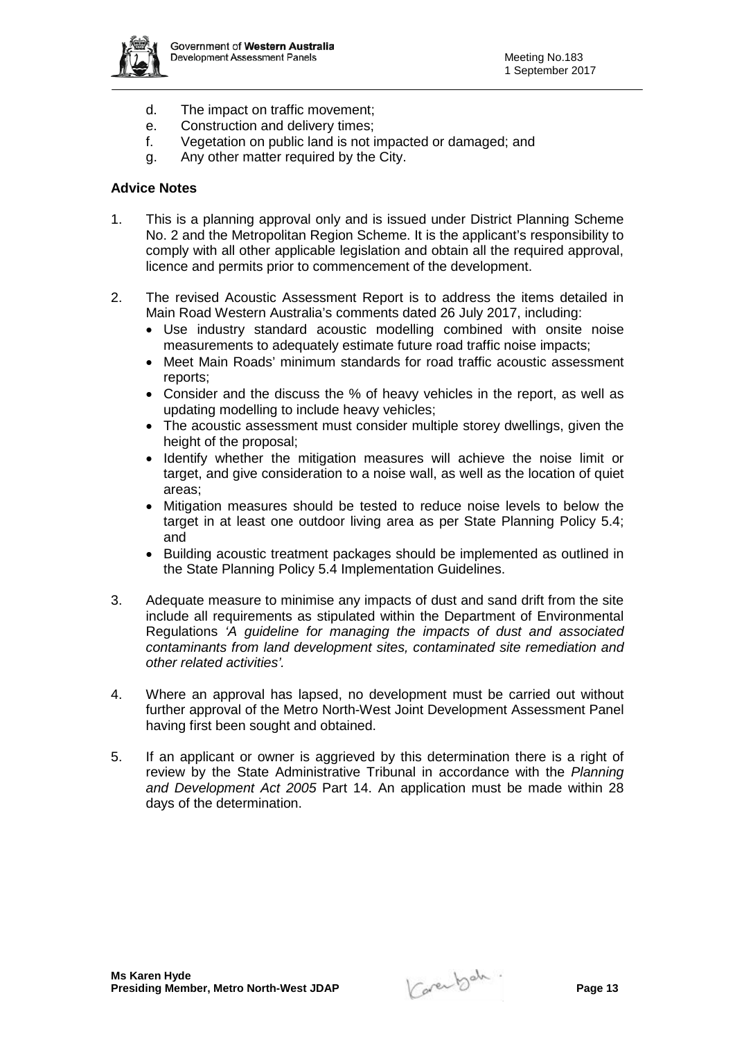

- d. The impact on traffic movement;
- e. Construction and delivery times;
- f. Vegetation on public land is not impacted or damaged; and
- g. Any other matter required by the City.

## **Advice Notes**

- 1. This is a planning approval only and is issued under District Planning Scheme No. 2 and the Metropolitan Region Scheme. It is the applicant's responsibility to comply with all other applicable legislation and obtain all the required approval, licence and permits prior to commencement of the development.
- 2. The revised Acoustic Assessment Report is to address the items detailed in Main Road Western Australia's comments dated 26 July 2017, including:
	- Use industry standard acoustic modelling combined with onsite noise measurements to adequately estimate future road traffic noise impacts;
	- Meet Main Roads' minimum standards for road traffic acoustic assessment reports;
	- Consider and the discuss the % of heavy vehicles in the report, as well as updating modelling to include heavy vehicles;
	- The acoustic assessment must consider multiple storey dwellings, given the height of the proposal;
	- Identify whether the mitigation measures will achieve the noise limit or target, and give consideration to a noise wall, as well as the location of quiet areas;
	- Mitigation measures should be tested to reduce noise levels to below the target in at least one outdoor living area as per State Planning Policy 5.4; and
	- Building acoustic treatment packages should be implemented as outlined in the State Planning Policy 5.4 Implementation Guidelines.
- 3. Adequate measure to minimise any impacts of dust and sand drift from the site include all requirements as stipulated within the Department of Environmental Regulations *'A guideline for managing the impacts of dust and associated contaminants from land development sites, contaminated site remediation and other related activities'.*
- 4. Where an approval has lapsed, no development must be carried out without further approval of the Metro North-West Joint Development Assessment Panel having first been sought and obtained.
- 5. If an applicant or owner is aggrieved by this determination there is a right of review by the State Administrative Tribunal in accordance with the *Planning and Development Act 2005* Part 14. An application must be made within 28 days of the determination.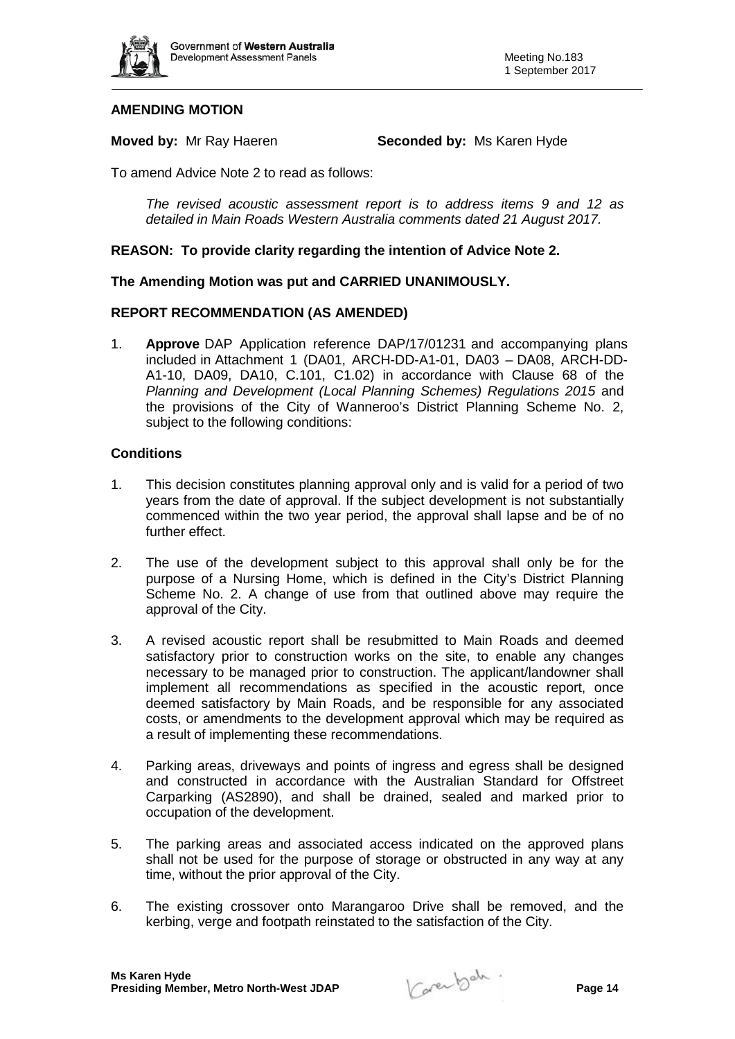

## **AMENDING MOTION**

**Moved by:** Mr Ray Haeren **Seconded by:** Ms Karen Hyde

To amend Advice Note 2 to read as follows:

*The revised acoustic assessment report is to address items 9 and 12 as detailed in Main Roads Western Australia comments dated 21 August 2017.* 

## **REASON: To provide clarity regarding the intention of Advice Note 2.**

#### **The Amending Motion was put and CARRIED UNANIMOUSLY.**

## **REPORT RECOMMENDATION (AS AMENDED)**

1. **Approve** DAP Application reference DAP/17/01231 and accompanying plans included in Attachment 1 (DA01, ARCH-DD-A1-01, DA03 – DA08, ARCH-DD-A1-10, DA09, DA10, C.101, C1.02) in accordance with Clause 68 of the *Planning and Development (Local Planning Schemes) Regulations 2015* and the provisions of the City of Wanneroo's District Planning Scheme No. 2, subject to the following conditions:

## **Conditions**

- 1. This decision constitutes planning approval only and is valid for a period of two years from the date of approval. If the subject development is not substantially commenced within the two year period, the approval shall lapse and be of no further effect.
- 2. The use of the development subject to this approval shall only be for the purpose of a Nursing Home, which is defined in the City's District Planning Scheme No. 2. A change of use from that outlined above may require the approval of the City.
- 3. A revised acoustic report shall be resubmitted to Main Roads and deemed satisfactory prior to construction works on the site, to enable any changes necessary to be managed prior to construction. The applicant/landowner shall implement all recommendations as specified in the acoustic report, once deemed satisfactory by Main Roads, and be responsible for any associated costs, or amendments to the development approval which may be required as a result of implementing these recommendations.
- 4. Parking areas, driveways and points of ingress and egress shall be designed and constructed in accordance with the Australian Standard for Offstreet Carparking (AS2890), and shall be drained, sealed and marked prior to occupation of the development.
- 5. The parking areas and associated access indicated on the approved plans shall not be used for the purpose of storage or obstructed in any way at any time, without the prior approval of the City.
- 6. The existing crossover onto Marangaroo Drive shall be removed, and the kerbing, verge and footpath reinstated to the satisfaction of the City.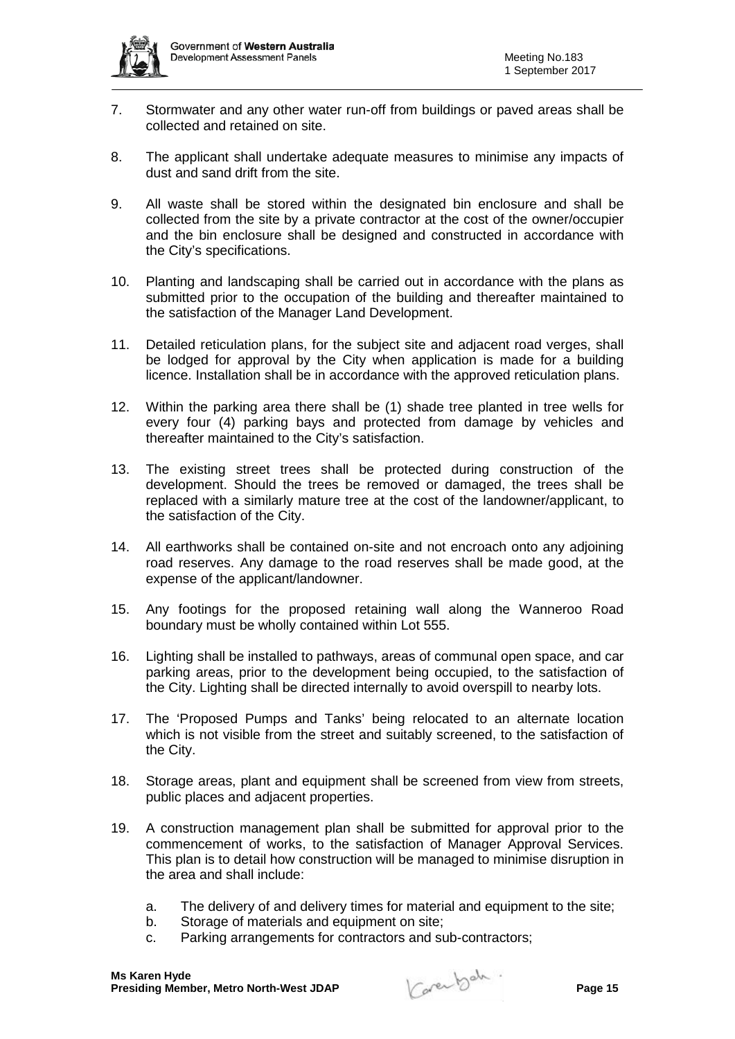

- 7. Stormwater and any other water run-off from buildings or paved areas shall be collected and retained on site.
- 8. The applicant shall undertake adequate measures to minimise any impacts of dust and sand drift from the site.
- 9. All waste shall be stored within the designated bin enclosure and shall be collected from the site by a private contractor at the cost of the owner/occupier and the bin enclosure shall be designed and constructed in accordance with the City's specifications.
- 10. Planting and landscaping shall be carried out in accordance with the plans as submitted prior to the occupation of the building and thereafter maintained to the satisfaction of the Manager Land Development.
- 11. Detailed reticulation plans, for the subject site and adjacent road verges, shall be lodged for approval by the City when application is made for a building licence. Installation shall be in accordance with the approved reticulation plans.
- 12. Within the parking area there shall be (1) shade tree planted in tree wells for every four (4) parking bays and protected from damage by vehicles and thereafter maintained to the City's satisfaction.
- 13. The existing street trees shall be protected during construction of the development. Should the trees be removed or damaged, the trees shall be replaced with a similarly mature tree at the cost of the landowner/applicant, to the satisfaction of the City.
- 14. All earthworks shall be contained on-site and not encroach onto any adjoining road reserves. Any damage to the road reserves shall be made good, at the expense of the applicant/landowner.
- 15. Any footings for the proposed retaining wall along the Wanneroo Road boundary must be wholly contained within Lot 555.
- 16. Lighting shall be installed to pathways, areas of communal open space, and car parking areas, prior to the development being occupied, to the satisfaction of the City. Lighting shall be directed internally to avoid overspill to nearby lots.
- 17. The 'Proposed Pumps and Tanks' being relocated to an alternate location which is not visible from the street and suitably screened, to the satisfaction of the City.
- 18. Storage areas, plant and equipment shall be screened from view from streets, public places and adjacent properties.
- 19. A construction management plan shall be submitted for approval prior to the commencement of works, to the satisfaction of Manager Approval Services. This plan is to detail how construction will be managed to minimise disruption in the area and shall include:
	- a. The delivery of and delivery times for material and equipment to the site;
	- b. Storage of materials and equipment on site;
	- c. Parking arrangements for contractors and sub-contractors;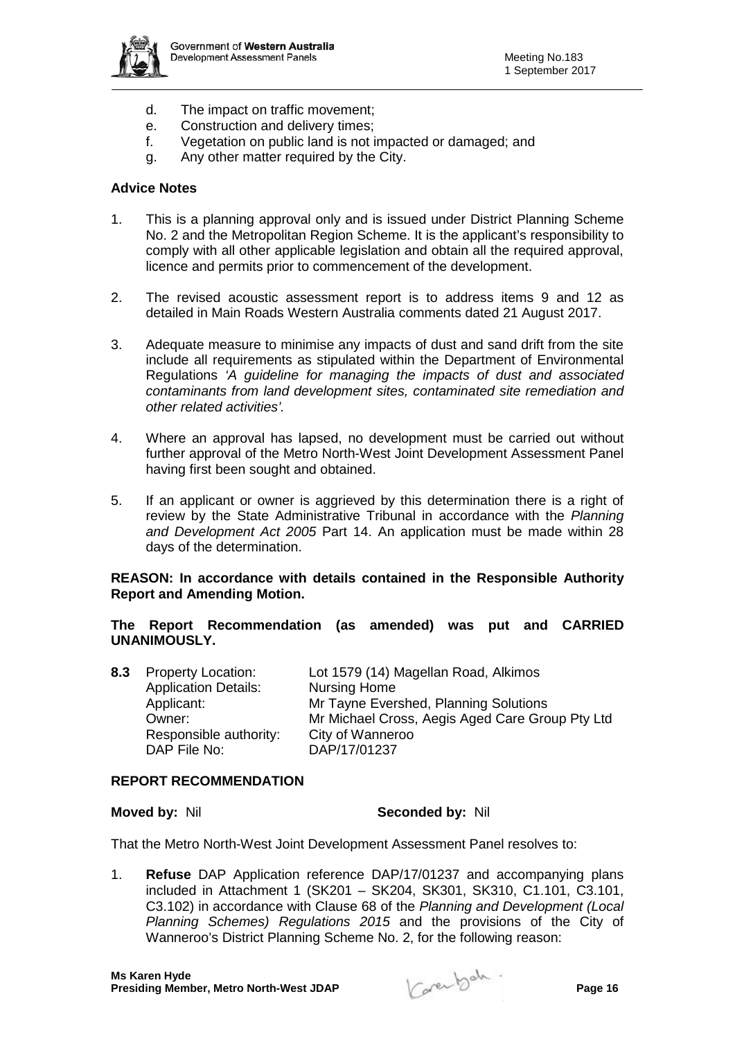

- d. The impact on traffic movement;
- e. Construction and delivery times;
- f. Vegetation on public land is not impacted or damaged; and
- g. Any other matter required by the City.

## **Advice Notes**

- 1. This is a planning approval only and is issued under District Planning Scheme No. 2 and the Metropolitan Region Scheme. It is the applicant's responsibility to comply with all other applicable legislation and obtain all the required approval, licence and permits prior to commencement of the development.
- 2. The revised acoustic assessment report is to address items 9 and 12 as detailed in Main Roads Western Australia comments dated 21 August 2017.
- 3. Adequate measure to minimise any impacts of dust and sand drift from the site include all requirements as stipulated within the Department of Environmental Regulations *'A guideline for managing the impacts of dust and associated contaminants from land development sites, contaminated site remediation and other related activities'.*
- 4. Where an approval has lapsed, no development must be carried out without further approval of the Metro North-West Joint Development Assessment Panel having first been sought and obtained.
- 5. If an applicant or owner is aggrieved by this determination there is a right of review by the State Administrative Tribunal in accordance with the *Planning and Development Act 2005* Part 14. An application must be made within 28 days of the determination.

## **REASON: In accordance with details contained in the Responsible Authority Report and Amending Motion.**

**The Report Recommendation (as amended) was put and CARRIED UNANIMOUSLY.**

| 8.3 | <b>Property Location:</b>   | Lot 1579 (14) Magellan Road, Alkimos            |
|-----|-----------------------------|-------------------------------------------------|
|     | <b>Application Details:</b> | <b>Nursing Home</b>                             |
|     | Applicant:                  | Mr Tayne Evershed, Planning Solutions           |
|     | Owner:                      | Mr Michael Cross, Aegis Aged Care Group Pty Ltd |
|     | Responsible authority:      | City of Wanneroo                                |
|     | DAP File No:                | DAP/17/01237                                    |

## **REPORT RECOMMENDATION**

#### **Moved by:** Nil **Seconded by:** Nil

That the Metro North-West Joint Development Assessment Panel resolves to:

1. **Refuse** DAP Application reference DAP/17/01237 and accompanying plans included in Attachment 1 (SK201 – SK204, SK301, SK310, C1.101, C3.101, C3.102) in accordance with Clause 68 of the *Planning and Development (Local Planning Schemes) Regulations 2015* and the provisions of the City of Wanneroo's District Planning Scheme No. 2, for the following reason: